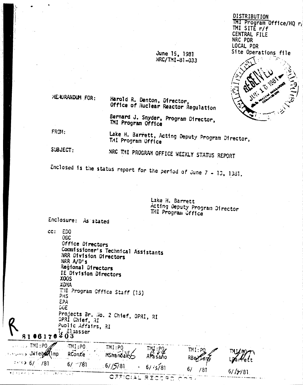#### DISTRIBUTION TMI Program Office/HQ r/ **MI SITE**  $r/f$ CENTRAL FILE NRC PDR LOCAL PDR Site Operations file

June 15, 1981 NRC/TMI-81-033



MENDRANDUM FOR:

Harold R. Denton, Director, Office of Huclear Reactor Regulation

Bernard J. Snyder, Program Director, TMI Program Office

FROM:

Lake H. Barrett, Acting Deputy Program Director, THI Program Office

SUBJECT:

NRC THI PROGRAM OFFICE MEEKLY STATUS REPORT

Enclosed is the status report for the period of June 7 - 13, 1381.

Lake H. Barrett Acting Deputy Program Director THI Program Office

Enclosure: As stated

cc: EDO OGC Office Directors Commissioner's Technical Assistants NRR Division Directors NRR A/D's Regional Directors IE Division Directors **XOOS XOMA** T.H. Program Office Staff (15) PHS EPA DOE Projects Br. No. 2 Chief, OPRI, RI DPRI Chief, RI Public Affairs, RI  $\frac{7}{2}$   $\frac{1}{2}$  sasser 8106170  $\therefore$  TMI:PO  $TMI:PO$  $TMI:PO$ TMI : P  $\texttt{M1:1}$ >> JWieb**s2**(Imp RConte MShanbally AFasaho : ∵€> 6/ ∴/81 6/ 781  $61/5781$  $6/15/81$  $6/$ /81  $61 / y / 81$ ≉diadika dra i  $15.77$  $\sim 100$  $\sim -1$ OFFICIAL RECORD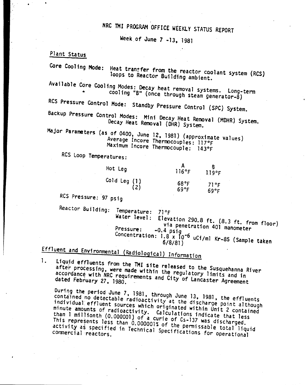## NRC 1MI PROGRAM OtFICE WEEKLY STATUS REPORT

Week Of June 7 -13. <sup>1981</sup>

#### Plant Status

Core Cooling Mode: Heat transfer from the reactor coolant system (RCS) loops to Reactor Building ambient. Available Core Cooling Modes: Decay heat removal systems. Long-term • cooling "8" (once through steam generator-B) RCS Pressure Control Mode: Standby Pressure Control (SPC) System. Backup Pressure Control Modes: Mini Decay Heat Removal (MOHR) System. Decay Heat Removal (DHR) System. Major Parameters (as of 0400, June 12, 1981) (approximate values) Average Incore Thermocouples: 117°F Maximum Incore Thermocouple: 143°F

RCS Loop Temperatures:

| Hot Leg                 | 116°F                  | 119°F        |
|-------------------------|------------------------|--------------|
| Cold Leg $(1)$<br>$(2)$ | 68°F<br>$69^{\circ}$ F | 71°F<br>69°F |

Res Pressure: 97 psig

1.

Reactor Building: Temperature: 71°F<br>Water level: Eleva

Elevation 290.8 ft. (8.3 ft. from floor) via penetration 401 manometer Pressure: -0.4 psig Concentration: 1.8 x 10-6 uCi/ml Kr-85 (Sample taken 6/8/81)

# Effluent and Environmental (Radiological) Information

Liquid effluents from the TMI site released to the Susquehanna River after processing, were made within the regulatory limits and in accordance with NRC requirements and City of Lancaster Agreement

During the period June 7, 1981, through June 13. 1981, the effluents contained no detectable radioactivity at the discharge point although individual effluent Sources which originated within Unit 2 contained minute amounts of radioactivity. Calculations indicate that less than 1 millionth (0.000001) of a curie of Cs-137 was discharged. This represents less than 0.000001% of the permissable total liquid activity as specified in Technical Specifications for operational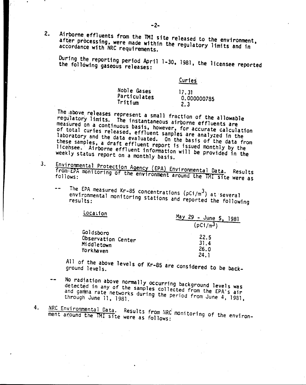Airborne effluents from the TMI site released to the environment, after processing, were made within the regulatory limits and in accordance with NRC requirements.

 $2.$ 

 $3<sub>1</sub>$ 

During the reporting period April 1-30, 1981, the licensee reported the following gaseous releases:

Curies

| Noble Gases  | 17.31       |  |
|--------------|-------------|--|
| Particulates | 0.000000785 |  |
| Tritium      | 2.3         |  |

The above releases represent a small fraction of the allowable regulatory limits. The instantaneous airborne effluents are measured on a continuous basis, however, for accurate calculation of total curies released, effluent samples are analyzed in the laboratory and the data evaluated. On the basis of the data from these samples, a draft effluent report is issued monthly by the licensee. Airborne effluent information will be provided in the weekly status report on a monthly basis.

- Environmental Protection Agency (EPA) Environmental Data. from EPA monitoring of the environment around the TMI site were as
	- The EPA measured Kr-85 concentrations ( $pCi/m<sup>3</sup>$ ) at several environmental monitoring stations and reported the following

| Localion                                      | Ma v<br>$29 - June 5,$<br>1981 |
|-----------------------------------------------|--------------------------------|
|                                               | $(pC1/m^3)$                    |
| Goldsboro<br>Observation Center<br>Middletown | 22.5<br>31.4                   |
| Yorkhaven                                     | 26.0                           |

All of the above levels of Kr-85 are considered to be back-

- No radiation above normally occurring background levels was detected in any of the samples collected from the EPA's air and gamma rate networks during the period from June 4, 1981, through June 11, 1981.
- 4. NRC Environmental Data. Results from NRC monitoring of the environment around the TMI site were as follows: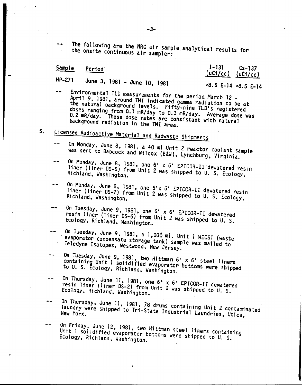The following are the NRC air sample.analytica1 results for the onsite continuous air sampler:

#### Sample Period

HP-271 June 3, 1981 - June 10, 1981

#### 1-131 Cs-137 *luCi/cc) luCi/cc)*

#### <8.5 E-14 <8.5 E-14

- Environmental TLO measurements for the period March 12 \_ April 9, 1981, around TMI indicated gamma radiation to be at the natural background levels. Fifty-nine TLD's registered doses ranging from 0.1 mR/day to 0.3 mR/day. Average dose was 0.2 mR/day. These dose rates are consistant with natural background radiation in the TMI area.
- s. Licensee Radioactive Material and Radwaste Shipments
	- On Monday, June 8, 1981, a 40 ml Unit 2 reactor coolant sample was sent to Babcock and Wilcox (B&W), Lynchburg, Virginia.
	- On Monday, June 8, 1981, one 6<sup>1</sup> x 6<sup>1</sup> EPICOR-Il dewatered resin liner (liner OS-5) from Unit 2 was shipped to U. S. Ecology, Richland, Washington.
	- $\bullet$   $\bullet$ On Monday, June 8, 1981, one 6 <sup>1</sup><sup>x</sup> 6' EPICOR-II dewatered resin liner (liner OS-7) from Unit 2 was shipped to U. S. Ecology, Richland, Washington.
	- On Tuesday, June 9, 1981, one 6' <sup>x</sup> 6' EPICOR-II dewatered -resin liner (liner OS-6) from Unit 2 was shipped to U. S. Ecology, Richland, Washington.
	- On Tuesday, June 9, 1981, a 1,000 ml. Unit 1 WECST (waste . evaporator condensate storage tank) sample was mailed to Teledyne Isotopes, WestWOOd, New Jersey.
	- On Tuesday, June 9, 1981, two Hittman 6' x 6' steel liners  $\sim$ containing Unit 1 solidified evaporator bottoms were shipped to U. S. Ecology, Richland, Washington.
	- On ThurSday, June 11, 1981, one 6' <sup>x</sup> 6' EPICOR-II dewatered  $-$ resin liner (liner 05-2) from Unit 2 was shipped to U. S. Ecology, Richland, Washington.
	- On Thursday, June 11, 1981, 78 drums containing Unit 2 contaminated  $-1$ laundry were shipped to Tri-State Industrial Laundries, Utica,
	- On Friday, June 12, 1981, two Hittman steel liners containing Unit 1 solidified evaporator bottoms were shipped to U. S.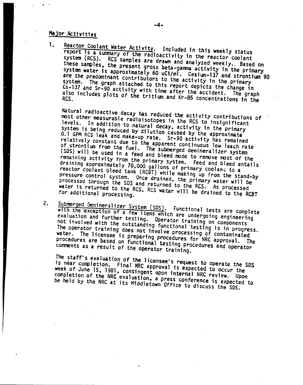## Major Activities

. .

1. Reactor Coolant Water Activity. Included in this weekly status report is a summary of the radioactivity in the reactor coolant system (RCS). RCS samples are drawn and analyzed weekly •. Based on these samples. the present gross beta-ganma activity in the primary system water is approximately 60 uCi/ml. Cesium-l37 and strontium 90 are the predominant contributors to the activity in the primary system. The graph attached to this report depicts the change in Cs-137 and Sr-90 activity with time after the accident. The graph also includes plots of the tritium and Kr-85 concentrations in the

Natural ,radioactive decay has reduced the activity contributions of most other measurable radioisotopes in the RCS to insignificant levels. In addition to natural decay, activity in the primary system is being reduced by dilution caused by the approximate 0.1 GPM RCS leak and make-up rate. Sr-90 activity has remained relatively constant due to the apparent continuous low leach rate of strontium from the fuel. The submerged demineralizer system (50S) will be used in a feed and bleed mode to remove most of the remaining activity from the primary system. Feed and bleed entails draining approximately 70,000 gallons of primary cooland to a reactor coolant bleed tank (RCBT) while making up from the stand-by pressure control system. Once drained, the primary water will be processed through the 5DS and returned to the ReS. As processed water is returned to the RCS, RCS water will be drained to the RCBT

### 2. Submerged Demineralizer System (SDS). Functional tests are complete

, , ,

with the exception of a few items which are undergoing engineering evaluation and further testing. Operator training on components not invol.ved with the outstanding functional testing is in progress. The operator training does not involve processing of contaminated water. The licensee is preparing procedures for NRC approval. The procedures are based on functional testing procedures and operator comments as a result of the operator training.

The staff's evaluation of the licensee's request to operate the SDS is near completion. Final NRCapproval is expected to OCcur the week of June 15, 1981, contingent upon internal NRC review. Upon completion of the NRC evaluation, a press conference is expected to be held by the NRC at its Middletown Office to discuss the SDS.